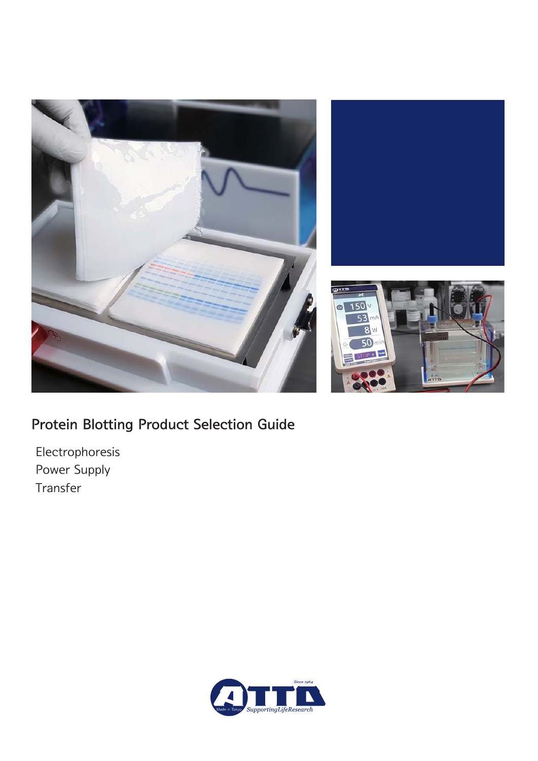

# Protein Blotting Product Selection Guide

 Electrophoresis Power Supply Transfer

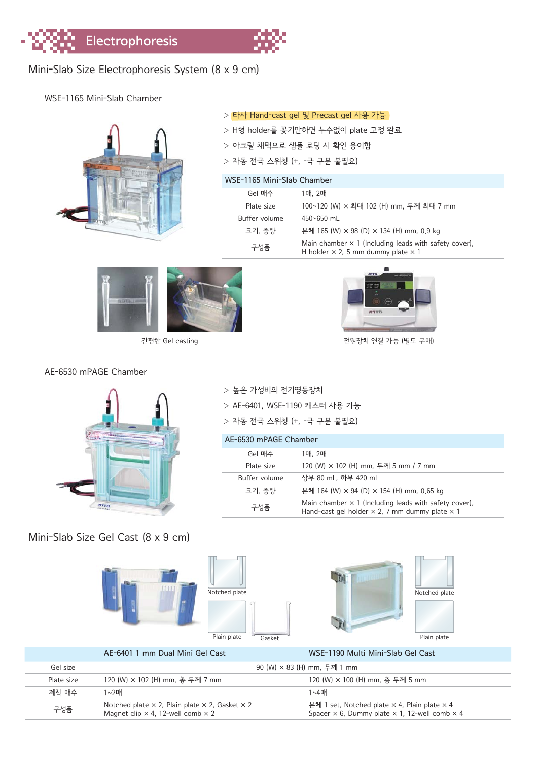

### WSE-1165 Mini-Slab Chamber



▷ 타사 Hand-cast gel 및 Precast gel 사용 가능

- ▷ H형 holder를 꽂기만하면 누수없이 plate 고정 완료
- ▷ 아크릴 채택으로 샘플 로딩 시 확인 용이함
- ▷ 자동 전극 스위칭 (+, -극 구분 불필요)

#### WSE-1165 Mini-Slab Chamber

| Gel 매수        | 1매, 2매                                                                                                           |
|---------------|------------------------------------------------------------------------------------------------------------------|
| Plate size    | 100~120 (W) × 최대 102 (H) mm, 두께 최대 7 mm                                                                          |
| Buffer volume | $450 \times 650$ ml                                                                                              |
| 크기. 중량        | 본체 165 (W) × 98 (D) × 134 (H) mm, 0.9 kg                                                                         |
| 구성품           | Main chamber $\times$ 1 (Including leads with safety cover),<br>H holder $\times$ 2, 5 mm dummy plate $\times$ 1 |





간편한 Gel casting 전원장치 연결 가능 (별도 구매)

#### AE-6530 mPAGE Chamber



▷ 높은 가성비의 전기영동장치

▷ AE-6401, WSE-1190 캐스터 사용 가능

▷ 자동 전극 스위칭 (+, -극 구분 불필요)

#### AE-6530 mPAGE Chamber

| Gel 매수        | 1매, 2매                                                                                                                       |
|---------------|------------------------------------------------------------------------------------------------------------------------------|
| Plate size    | 120 (W) × 102 (H) mm, 두께 5 mm / 7 mm                                                                                         |
| Buffer volume | 상부 80 mL. 하부 420 mL                                                                                                          |
| 크기. 중량        | 본체 164 (W) × 94 (D) × 154 (H) mm, 0.65 kg                                                                                    |
| 구성품           | Main chamber $\times$ 1 (Including leads with safety cover),<br>Hand-cast gel holder $\times$ 2, 7 mm dummy plate $\times$ 1 |

Mini-Slab Size Gel Cast (8 x 9 cm)







|                                                                                                                                                | AE-6401 1 mm Dual Mini Gel Cast | WSE-1190 Multi Mini-Slab Gel Cast                                                                                                |
|------------------------------------------------------------------------------------------------------------------------------------------------|---------------------------------|----------------------------------------------------------------------------------------------------------------------------------|
| Gel size                                                                                                                                       |                                 | 90 (W) × 83 (H) mm, 두께 1 mm                                                                                                      |
| Plate size                                                                                                                                     | 120 (W) × 102 (H) mm, 총 두께 7 mm | 120 (W) × 100 (H) mm, 총 두께 5 mm                                                                                                  |
| 제작 매수<br>1~2매<br>Notched plate $\times$ 2, Plain plate $\times$ 2, Gasket $\times$ 2<br>구성품<br>Magnet clip $\times$ 4, 12-well comb $\times$ 2 |                                 | 1∼4매                                                                                                                             |
|                                                                                                                                                |                                 | 본체 1 set, Notched plate $\times$ 4, Plain plate $\times$ 4<br>Spacer $\times$ 6, Dummy plate $\times$ 1, 12-well comb $\times$ 4 |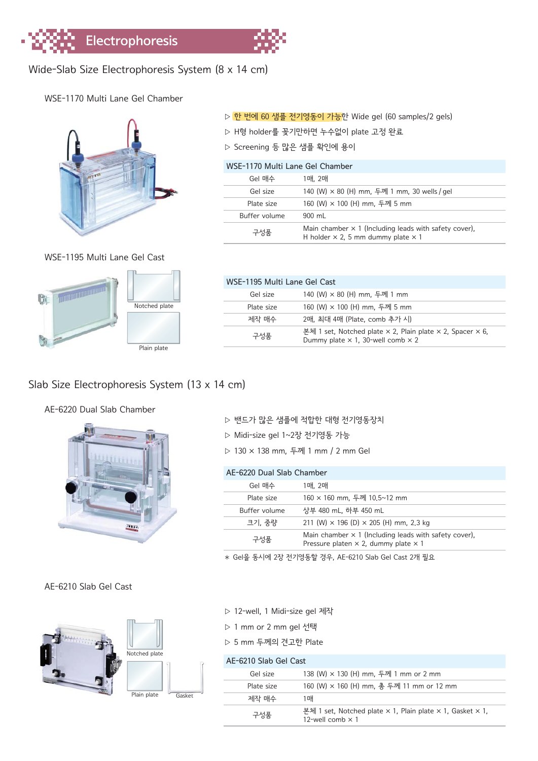

# Wide-Slab Size Electrophoresis System (8 x 14 cm)

WSE-1170 Multi Lane Gel Chamber



WSE-1195 Multi Lane Gel Cast



| WSF-1195 Multi Lane Gel Cast |                                                                                                                                   |  |  |  |
|------------------------------|-----------------------------------------------------------------------------------------------------------------------------------|--|--|--|
| Gel size                     | 140 (W) × 80 (H) mm, 두께 1 mm                                                                                                      |  |  |  |
| Plate size                   | 160 (W) × 100 (H) mm, 두께 5 mm                                                                                                     |  |  |  |
| 제작 매수                        | 2매, 최대 4매 (Plate, comb 추가 시)                                                                                                      |  |  |  |
| 구성풍                          | 본체 1 set, Notched plate $\times$ 2, Plain plate $\times$ 2, Spacer $\times$ 6,<br>Dummy plate $\times$ 1, 30-well comb $\times$ 2 |  |  |  |
|                              |                                                                                                                                   |  |  |  |

# Slab Size Electrophoresis System (13 x 14 cm)

#### AE-6220 Dual Slab Chamber



#### ▷ 밴드가 많은 샘플에 적합한 대형 전기영동장치

- ▷ Midi-size gel 1~2장 전기영동 가능
- ▷ 130 × 138 mm, 두께 1 mm / 2 mm Gel

| AE-6220 Dual Slab Chamber |                                                                                                                    |  |  |  |
|---------------------------|--------------------------------------------------------------------------------------------------------------------|--|--|--|
| Gel 매수                    | 1매. 2매                                                                                                             |  |  |  |
| Plate size                | 160 × 160 mm, 두께 10.5~12 mm                                                                                        |  |  |  |
| Buffer volume             | 상부 480 mL. 하부 450 mL                                                                                               |  |  |  |
| 크기, 중량                    | 211 (W) $\times$ 196 (D) $\times$ 205 (H) mm, 2,3 kg                                                               |  |  |  |
| 구성품                       | Main chamber $\times$ 1 (Including leads with safety cover),<br>Pressure platen $\times$ 2, dummy plate $\times$ 1 |  |  |  |

✱ Gel을 동시에 2장 전기영동할 경우, AE-6210 Slab Gel Cast 2개 필요

#### AE-6210 Slab Gel Cast



| Notched plate |        |
|---------------|--------|
|               |        |
| Plain plate   | Gasket |

|  |  |  |  | ▷ 12-well, 1 Midi-size gel 제작 |  |  |
|--|--|--|--|-------------------------------|--|--|
|--|--|--|--|-------------------------------|--|--|

- ▷ 1 mm or 2 mm gel 선택
- ▷ 5 mm 두께의 견고한 Plate

#### AE-6210 Slab Gel Cast Gel size 138 (W) × 130 (H) mm, 두께 1 mm or 2 mm Plate size 160 (W) × 160 (H) mm, 총 두께 11 mm or 12 mm 제작 매수 1매 구성품 본체 1 set, Notched plate × 1, Plain plate × 1, Gasket × 1, 12-well comb  $\times$  1

|  |  |  | ▷ 한 번에 60 샘플 전기영동이 가능한 Wide gel (60 samples/2 gels) |  |  |  |  |  |
|--|--|--|-----------------------------------------------------|--|--|--|--|--|
|--|--|--|-----------------------------------------------------|--|--|--|--|--|

- ▷ H형 holder를 꽂기만하면 누수없이 plate 고정 완료
- ▷ Screening 등 많은 샘플 확인에 용이

| WSF-1170 Multi Lane Gel Chamber |                                                                                                                  |  |  |  |
|---------------------------------|------------------------------------------------------------------------------------------------------------------|--|--|--|
| Gel 매수                          | 1매, 2매                                                                                                           |  |  |  |
| Gel size                        | 140 (W) × 80 (H) mm, 두께 1 mm, 30 wells / gel                                                                     |  |  |  |
| Plate size                      | 160 (W) × 100 (H) mm, 두께 5 mm                                                                                    |  |  |  |
| Buffer volume                   | $900 \text{ ml}$                                                                                                 |  |  |  |
| 구성품                             | Main chamber $\times$ 1 (Including leads with safety cover),<br>H holder $\times$ 2, 5 mm dummy plate $\times$ 1 |  |  |  |
|                                 |                                                                                                                  |  |  |  |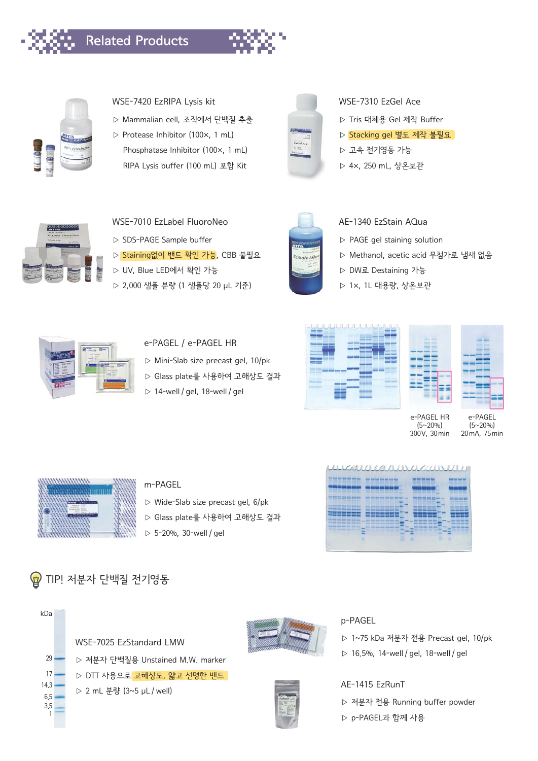



#### WSE-7420 EzRIPA Lysis kit

- ▷ Mammalian cell, 조직에서 단백질 추출
- ▷ Protease Inhibitor (100×, 1 mL) Phosphatase Inhibitor (100×, 1 mL) RIPA Lysis buffer (100 mL) 포함 Kit



#### WSE-7310 EzGel Ace

- ▷ Tris 대체용 Gel 제작 Buffer
- ▷ Stacking gel 별도 제작 불필요
- ▷ 고속 전기영동 가능
- ▷ 4×, 250 mL, 상온보관



- WSE-7010 EzLabel FluoroNeo
- ▷ SDS-PAGE Sample buffer
- ▷ Staining없이 밴드 확인 가능, CBB 불필요
- ▷ UV, Blue LED에서 확인 가능
- ▷ 2,000 샘플 분량 (1 샘플당 20 μL 기준)



#### AE-1340 EzStain AQua

- ▷ PAGE gel staining solution
- ▷ Methanol, acetic acid 무첨가로 냄새 없음
- ▷ DW로 Destaining 가능
- ▷ 1×, 1L 대용량, 상온보관



- e-PAGEL / e-PAGEL HR
- ▷ Mini-Slab size precast gel, 10/pk
- ▷ Glass plate를 사용하여 고해상도 결과
- $> 14$ -well / gel, 18-well / gel





e-PAGEL HR (5~20%) 300V, 30min

e-PAGEL (5~20%) 20mA, 75min



#### m-PAGEL

- ▷ Wide-Slab size precast gel, 6/pk
- ▷ Glass plate를 사용하여 고해상도 결과
- $> 5 20%$ , 30-well / gel



 $U/A$ 

# **☞** TIP! 저분자 단백질 전기영동





#### p-PAGEL

- 
- ▷ 16.5%, 14-well / gel, 18-well / gel

AE-1415 EzRunT

- ▷ 저분자 전용 Running buffer powder
- ▷ p-PAGEL과 함께 사용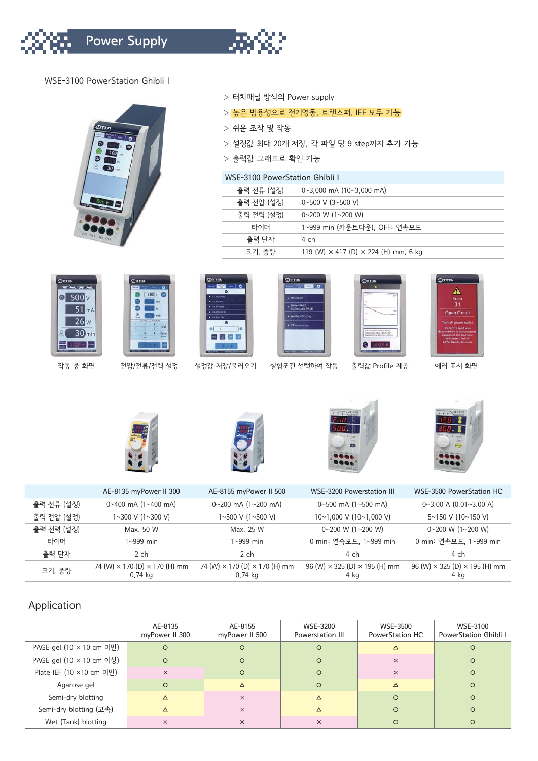

#### WSE-3100 PowerStation Ghibli I



#### ▷ 터치패널 방식의 Power supply

- ▷ 높은 범용성으로 전기영동, 트랜스퍼, IEF 모두 가능
- ▷ 쉬운 조작 및 작동
- ▷ 설정값 최대 20개 저장, 각 파일 당 9 step까지 추가 가능
- ▷ 출력값 그래프로 확인 가능

#### WSE-3100 PowerStation Ghibli I

| 출력 전류 (설정) | $0 \sim 3,000$ mA $(10 \sim 3,000$ mA)             |
|------------|----------------------------------------------------|
| 출력 전압 (설정) | $0 \sim 500$ V (3 $\sim$ 500 V)                    |
| 출력 전력 (설정) | $0 \sim 200$ W (1 $\sim$ 200 W)                    |
| 타이머        | 1~999 min (카우트다우), OFF: 연속모드                       |
| 출력 단자      | 4 ch                                               |
| 크기, 중량     | 119 (W) $\times$ 417 (D) $\times$ 224 (H) mm, 6 kg |





 $\epsilon$ 500

작동 중 화면 전압/전류/전력 설정 설정값 저장/불러오기 실험조건 선택하여 작동 출력값 Profile 제공 에러 표시 화면

 $2$ 110











|            | AE-8135 myPower II 300                                   | AE-8155 myPower II 500                                   | WSE-3200 Powerstation III                           | WSE-3500 PowerStation HC                              |
|------------|----------------------------------------------------------|----------------------------------------------------------|-----------------------------------------------------|-------------------------------------------------------|
| 출력 전류 (설정) | $0 \sim 400$ mA $(1 \sim 400$ mA)                        | $0 \sim 200$ mA $(1 \sim 200$ mA)                        | $0 \sim 500$ mA $(1 \sim 500$ mA)                   | $0 \sim 3.00$ A $(0.01 \sim 3.00$ A)                  |
| 출력 저압 (설정) | $1 \sim 300$ V ( $1 \sim 300$ V)                         | 1∼500 V (1∼500 V)                                        | $10~1.000$ V ( $10~1.000$ V)                        | $5 \sim 150$ V (10 $\sim$ 150 V)                      |
| 출력 전력 (설정) | Max. 50 W                                                | Max. 25 W                                                | $0 \sim 200$ W (1 $\sim$ 200 W)                     | $0 \sim 200$ W (1 $\sim$ 200 W)                       |
| 타이머        | 1∼999 min                                                | 1~999 min                                                | 0 min: 연속모드, 1~999 min                              | 0 min: 연속모드, 1~999 min                                |
| 출력 단자      | 2ch                                                      | $2$ ch                                                   | 4 ch                                                | 4 ch                                                  |
| 크기, 중량     | 74 (W) $\times$ 170 (D) $\times$ 170 (H) mm<br>$0.74$ kg | 74 (W) $\times$ 170 (D) $\times$ 170 (H) mm<br>$0.74$ kg | 96 (W) $\times$ 325 (D) $\times$ 195 (H) mm<br>4 kg | $96$ (W) $\times$ 325 (D) $\times$ 195 (H) mm<br>4 kg |

### Application

|                          | AE-8135<br>myPower II 300 | AE-8155<br>myPower II 500 | WSE-3200<br>Powerstation III | WSE-3500<br>PowerStation HC | WSE-3100<br><b>PowerStation Ghibli I</b> |
|--------------------------|---------------------------|---------------------------|------------------------------|-----------------------------|------------------------------------------|
| PAGE gel (10 × 10 cm 미만) | $\Omega$                  | $\Omega$                  | O                            | $\Lambda$                   | $\Omega$                                 |
| PAGE gel (10 × 10 cm 이상) | $\circ$                   | $\Omega$                  | O                            | $\times$                    | $\Omega$                                 |
| Plate IEF (10 ×10 cm 미만) | $\times$                  | $\Omega$                  | $\Omega$                     | $\times$                    | $\Omega$                                 |
| Agarose gel              | $\Omega$                  | Δ                         | $\Omega$                     | Δ                           |                                          |
| Semi-dry blotting        |                           | $\times$                  | ∧                            | $\Omega$                    | $\Omega$                                 |
| Semi-dry blotting (고속)   |                           | $\times$                  |                              | $\Omega$                    | $\Omega$                                 |
| Wet (Tank) blotting      | $\times$                  | $\times$                  | $\times$                     |                             |                                          |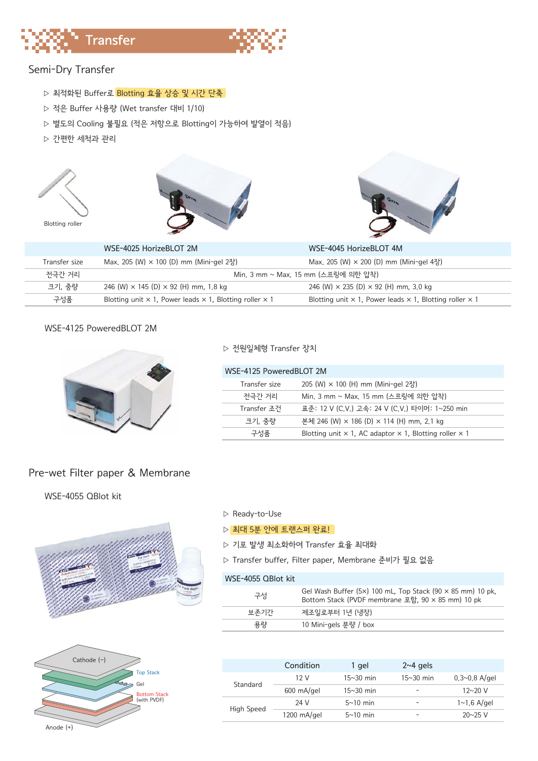



## Semi-Dry Transfer

- ▷ 최적화된 Buffer로 Blotting 효율 상승 및 시간 단축
- ▷ 적은 Buffer 사용량 (Wet transfer 대비 1/10)
- ▷ 별도의 Cooling 불필요 (적은 저항으로 Blotting이 가능하여 발열이 적음)
- ▷ 간편한 세척과 관리







|                                                                 | WSE-4025 HorizeBLOT 2M                                                       | WSE-4045 HorizeBLOT 4M                                                       |
|-----------------------------------------------------------------|------------------------------------------------------------------------------|------------------------------------------------------------------------------|
| Max, 205 (W) $\times$ 100 (D) mm (Mini-gel 2장)<br>Transfer size |                                                                              | Max, 205 (W) × 200 (D) mm (Mini-gel 4장)                                      |
| 전극간 거리                                                          |                                                                              | Min, 3 mm ~ Max, 15 mm (스프링에 의한 압착)                                          |
| 크기, 중량<br>246 (W) $\times$ 145 (D) $\times$ 92 (H) mm, 1,8 kg   |                                                                              | 246 (W) $\times$ 235 (D) $\times$ 92 (H) mm, 3.0 kg                          |
| 구성품                                                             | Blotting unit $\times$ 1, Power leads $\times$ 1, Blotting roller $\times$ 1 | Blotting unit $\times$ 1, Power leads $\times$ 1, Blotting roller $\times$ 1 |

#### WSE-4125 PoweredBLOT 2M



#### ▷ 전원일체형 Transfer 장치

| WSE-4125 PoweredBLOT 2M |                                                                             |  |  |
|-------------------------|-----------------------------------------------------------------------------|--|--|
| Transfer size           | 205 (W) $\times$ 100 (H) mm (Mini-gel 2장)                                   |  |  |
| 전극간 거리                  | Min. 3 mm ~ Max. 15 mm (스프링에 의한 압착)                                         |  |  |
| Transfer 조건             | 표주: 12 V (C.V.) 고속: 24 V (C.V.) 타이머: 1~250 min                              |  |  |
| 크기. 중량                  | 본체 246 (W) × 186 (D) × 114 (H) mm, 2.1 kg                                   |  |  |
| 구성풍                     | Blotting unit $\times$ 1, AC adaptor $\times$ 1, Blotting roller $\times$ 1 |  |  |

#### Pre-wet Filter paper & Membrane

WSE-4055 QBlot kit





#### ▷ Ready-to-Use

#### ▷ 최대 5부 안에 트랜스퍼 완료!

- ▷ 기포 발생 최소화하여 Transfer 효율 최대화
- ▷ Transfer buffer, Filter paper, Membrane 준비가 필요 없음

#### WSE-4055 QBlot kit

| 구성   | Gel Wash Buffer (5x) 100 mL, Top Stack (90 $\times$ 85 mm) 10 pk,<br>Bottom Stack (PVDF membrane 포함, 90 × 85 mm) 10 pk |
|------|------------------------------------------------------------------------------------------------------------------------|
| 보주기가 | 제조일로부터 1년 (냉장)                                                                                                         |
| 용량   | 10 Mini-gels 분량 / box                                                                                                  |
|      |                                                                                                                        |

|            | Condition             | 1 gel       | $2~4$ gels  |                          |
|------------|-----------------------|-------------|-------------|--------------------------|
| Standard   | 12 V                  | $15~30$ min | $15~30$ min | $0.3 \sim 0.8$ A/gel     |
|            | $600 \text{ mA/gel}$  | $15~30$ min | -           | $12 \times 20 \text{ V}$ |
| High Speed | 24 V                  | $5~10$ min  | -           | $1 \sim 1.6$ A/gel       |
|            | $1200 \text{ mA/gel}$ | $5~10$ min  | -           | $20 \times 25$ V         |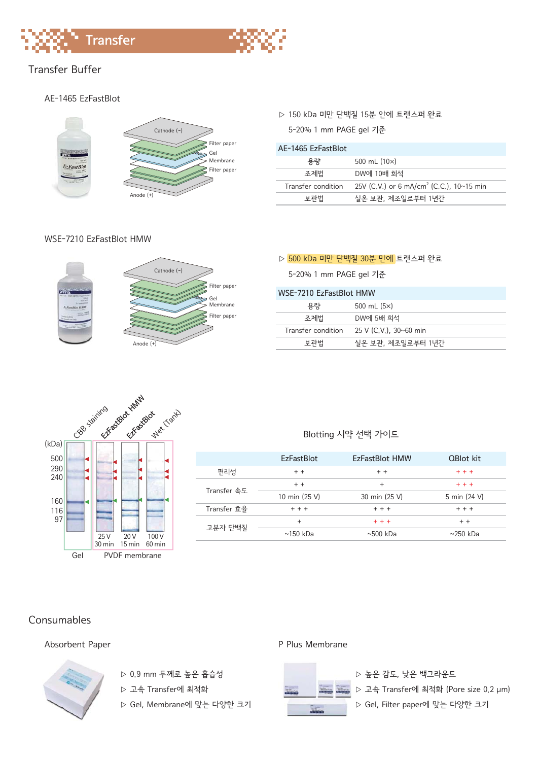



#### AE-1465 EzFastBlot



#### WSE-7210 EzFastBlot HMW



#### ▷ 150 kDa 미만 단백질 15분 안에 트랜스퍼 완료

5-20% 1 mm PAGE gel 기준

| AF-1465 FzFastBlot |                                                      |
|--------------------|------------------------------------------------------|
| 용량                 | 500 mL $(10x)$                                       |
| 조제법                | DW에 10배 회석                                           |
| Transfer condition | 25V (C,V,) or 6 mA/cm <sup>2</sup> (C,C,), 10~15 min |
| 보관법                | 실온 보관, 제조일로부터 1년간                                    |

#### ▷ 500 kDa 미만 단백질 30분 만에 트랜스퍼 완료

5-20% 1 mm PAGE gel 기준

| WSF-7210 FzFastBlot HMW |                        |
|-------------------------|------------------------|
| 용량                      | 500 mL $(5x)$          |
| 조제법                     | DW에 5배 회석              |
| Transfer condition      | 25 V (C.V.), 30~60 min |
| 보관법                     | 실온 보관, 제조일로부터 1년간      |
|                         |                        |



#### Blotting 시약 선택 가이드

|             | <b>FzFastBlot</b> | <b>FzFastBlot HMW</b> | <b>QBlot kit</b> |
|-------------|-------------------|-----------------------|------------------|
| 편리성         | $+ +$             | $+ +$                 | $+ + +$          |
| Transfer 속도 | $+ +$             | $\ddot{}$             | $+ + +$          |
|             | 10 min (25 V)     | 30 min (25 V)         | 5 min (24 V)     |
| Transfer 효율 | $+ + +$           | $+ + +$               | $+ + +$          |
| 고분자 단백질     | $\ddot{}$         | $+ + +$               | $+ +$            |
|             | $\sim$ 150 kDa    | $\sim$ 500 kDa        | $\sim$ 250 kDa   |

#### Consumables

#### Absorbent Paper **P Plus Membrane**



- ▷ 0.9 mm 두께로 높은 흡습성
- ▷ 고속 Transfer에 최적화
- ▷ Gel, Membrane에 맞는 다양한 크기



▷ 높은 감도, 낮은 백그라운드 ▷ 고속 Transfer에 최적화 (Pore size 0.2 μm) ▷ Gel, Filter paper에 맞는 다양한 크기